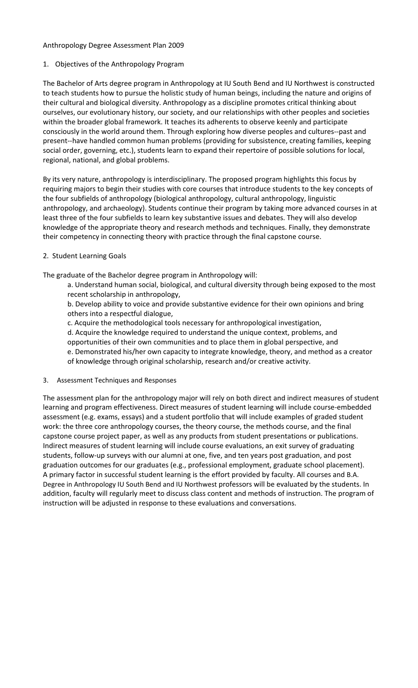## Anthropology Degree Assessment Plan 2009

## 1. Objectives of the Anthropology Program

 The Bachelor of Arts degree program in Anthropology at IU South Bend and IU Northwest is constructed to teach students how to pursue the holistic study of human beings, including the nature and origins of their cultural and biological diversity. Anthropology as a discipline promotes critical thinking about ourselves, our evolutionary history, our society, and our relationships with other peoples and societies within the broader global framework. It teaches its adherents to observe keenly and participate consciously in the world around them. Through exploring how diverse peoples and cultures‐‐past and present‐‐have handled common human problems (providing for subsistence, creating families, keeping social order, governing, etc.), students learn to expand their repertoire of possible solutions for local, regional, national, and global problems.

 By its very nature, anthropology is interdisciplinary. The proposed program highlights this focus by requiring majors to begin their studies with core courses that introduce students to the key concepts of the four subfields of anthropology (biological anthropology, cultural anthropology, linguistic anthropology, and archaeology). Students continue their program by taking more advanced courses in at least three of the four subfields to learn key substantive issues and debates. They will also develop knowledge of the appropriate theory and research methods and techniques. Finally, they demonstrate their competency in connecting theory with practice through the final capstone course.

## 2. Student Learning Goals

The graduate of the Bachelor degree program in Anthropology will:

 a. Understand human social, biological, and cultural diversity through being exposed to the most recent scholarship in anthropology,

 b. Develop ability to voice and provide substantive evidence for their own opinions and bring others into a respectful dialogue,

c. Acquire the methodological tools necessary for anthropological investigation,

 d. Acquire the knowledge required to understand the unique context, problems, and opportunities of their own communities and to place them in global perspective, and e. Demonstrated his/her own capacity to integrate knowledge, theory, and method as a creator of knowledge through original scholarship, research and/or creative activity.

3. Assessment Techniques and Responses

 The assessment plan for the anthropology major will rely on both direct and indirect measures of student learning and program effectiveness. Direct measures of student learning will include course‐embedded assessment (e.g. exams, essays) and a student portfolio that will include examples of graded student work: the three core anthropology courses, the theory course, the methods course, and the final capstone course project paper, as well as any products from student presentations or publications. Indirect measures of student learning will include course evaluations, an exit survey of graduating students, follow‐up surveys with our alumni at one, five, and ten years post graduation, and post graduation outcomes for our graduates (e.g., professional employment, graduate school placement). A primary factor in successful student learning is the effort provided by faculty. All courses and B.A. Degree in Anthropology IU South Bend and IU Northwest professors will be evaluated by the students. In addition, faculty will regularly meet to discuss class content and methods of instruction. The program of instruction will be adjusted in response to these evaluations and conversations.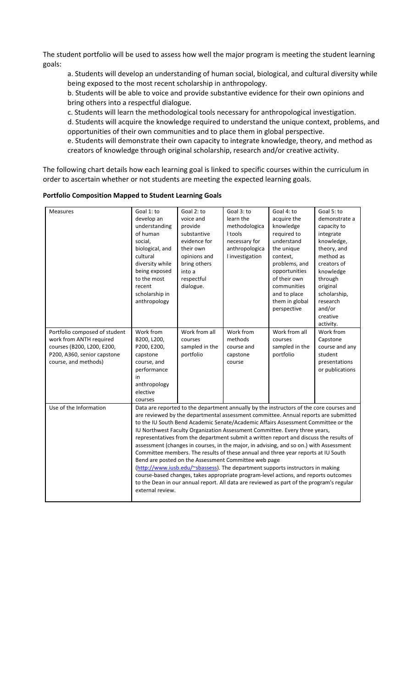The student portfolio will be used to assess how well the major program is meeting the student learning goals:

 a. Students will develop an understanding of human social, biological, and cultural diversity while being exposed to the most recent scholarship in anthropology.

 b. Students will be able to voice and provide substantive evidence for their own opinions and bring others into a respectful dialogue.

c. Students will learn the methodological tools necessary for anthropological investigation.

 d. Students will acquire the knowledge required to understand the unique context, problems, and opportunities of their own communities and to place them in global perspective.

 e. Students will demonstrate their own capacity to integrate knowledge, theory, and method as creators of knowledge through original scholarship, research and/or creative activity.

 The following chart details how each learning goal is linked to specific courses within the curriculum in order to ascertain whether or not students are meeting the expected learning goals.

|  |  |  |  | <b>Portfolio Composition Mapped to Student Learning Goals</b> |
|--|--|--|--|---------------------------------------------------------------|
|--|--|--|--|---------------------------------------------------------------|

| <b>Measures</b>                                                                        | Goal 1: to                                                                                                                                                                                                                          | Goal 2: to     | Goal 3: to      | Goal 4: to                                                                              | Goal 5: to      |  |  |
|----------------------------------------------------------------------------------------|-------------------------------------------------------------------------------------------------------------------------------------------------------------------------------------------------------------------------------------|----------------|-----------------|-----------------------------------------------------------------------------------------|-----------------|--|--|
|                                                                                        | develop an                                                                                                                                                                                                                          | voice and      | learn the       | acquire the                                                                             | demonstrate a   |  |  |
|                                                                                        | understanding                                                                                                                                                                                                                       | provide        | methodologica   | knowledge                                                                               | capacity to     |  |  |
|                                                                                        | of human                                                                                                                                                                                                                            | substantive    | I tools         | required to                                                                             | integrate       |  |  |
|                                                                                        | social,                                                                                                                                                                                                                             | evidence for   | necessary for   | understand                                                                              | knowledge,      |  |  |
|                                                                                        | biological, and                                                                                                                                                                                                                     | their own      | anthropologica  | the unique                                                                              | theory, and     |  |  |
|                                                                                        | cultural                                                                                                                                                                                                                            | opinions and   | I investigation | context,                                                                                | method as       |  |  |
|                                                                                        | diversity while                                                                                                                                                                                                                     | bring others   |                 | problems, and                                                                           | creators of     |  |  |
|                                                                                        | being exposed                                                                                                                                                                                                                       | into a         |                 | opportunities                                                                           | knowledge       |  |  |
|                                                                                        | to the most                                                                                                                                                                                                                         | respectful     |                 | of their own                                                                            | through         |  |  |
|                                                                                        | recent                                                                                                                                                                                                                              | dialogue.      |                 | communities                                                                             | original        |  |  |
|                                                                                        | scholarship in                                                                                                                                                                                                                      |                |                 | and to place                                                                            | scholarship,    |  |  |
|                                                                                        | anthropology                                                                                                                                                                                                                        |                |                 | them in global                                                                          | research        |  |  |
|                                                                                        |                                                                                                                                                                                                                                     |                |                 | perspective                                                                             | and/or          |  |  |
|                                                                                        |                                                                                                                                                                                                                                     |                |                 |                                                                                         | creative        |  |  |
|                                                                                        |                                                                                                                                                                                                                                     |                |                 |                                                                                         | activity.       |  |  |
| Portfolio composed of student                                                          | Work from                                                                                                                                                                                                                           | Work from all  | Work from       | Work from all                                                                           | Work from       |  |  |
| work from ANTH required                                                                | B200, L200,                                                                                                                                                                                                                         | courses        | methods         | courses                                                                                 | Capstone        |  |  |
| courses (B200, L200, E200,                                                             | P200, E200,                                                                                                                                                                                                                         | sampled in the | course and      | sampled in the                                                                          | course and any  |  |  |
| P200, A360, senior capstone                                                            | capstone                                                                                                                                                                                                                            | portfolio      | capstone        | portfolio                                                                               | student         |  |  |
| course, and methods)                                                                   | course, and                                                                                                                                                                                                                         |                | course          |                                                                                         | presentations   |  |  |
|                                                                                        | performance                                                                                                                                                                                                                         |                |                 |                                                                                         | or publications |  |  |
|                                                                                        | in                                                                                                                                                                                                                                  |                |                 |                                                                                         |                 |  |  |
|                                                                                        | anthropology                                                                                                                                                                                                                        |                |                 |                                                                                         |                 |  |  |
|                                                                                        | elective                                                                                                                                                                                                                            |                |                 |                                                                                         |                 |  |  |
|                                                                                        | courses                                                                                                                                                                                                                             |                |                 |                                                                                         |                 |  |  |
| Use of the Information                                                                 |                                                                                                                                                                                                                                     |                |                 | Data are reported to the department annually by the instructors of the core courses and |                 |  |  |
|                                                                                        | are reviewed by the departmental assessment committee. Annual reports are submitted                                                                                                                                                 |                |                 |                                                                                         |                 |  |  |
|                                                                                        | to the IU South Bend Academic Senate/Academic Affairs Assessment Committee or the                                                                                                                                                   |                |                 |                                                                                         |                 |  |  |
|                                                                                        | IU Northwest Faculty Organization Assessment Committee. Every three years,                                                                                                                                                          |                |                 |                                                                                         |                 |  |  |
| representatives from the department submit a written report and discuss the results of |                                                                                                                                                                                                                                     |                |                 |                                                                                         |                 |  |  |
|                                                                                        | assessment (changes in courses, in the major, in advising, and so on.) with Assessment<br>Committee members. The results of these annual and three year reports at IU South<br>Bend are posted on the Assessment Committee web page |                |                 |                                                                                         |                 |  |  |
|                                                                                        |                                                                                                                                                                                                                                     |                |                 |                                                                                         |                 |  |  |
|                                                                                        |                                                                                                                                                                                                                                     |                |                 |                                                                                         |                 |  |  |
|                                                                                        | (http://www.iusb.edu/~sbassess). The department supports instructors in making                                                                                                                                                      |                |                 |                                                                                         |                 |  |  |
|                                                                                        | course-based changes, takes appropriate program-level actions, and reports outcomes                                                                                                                                                 |                |                 |                                                                                         |                 |  |  |
|                                                                                        | to the Dean in our annual report. All data are reviewed as part of the program's regular                                                                                                                                            |                |                 |                                                                                         |                 |  |  |
|                                                                                        | external review.                                                                                                                                                                                                                    |                |                 |                                                                                         |                 |  |  |
|                                                                                        |                                                                                                                                                                                                                                     |                |                 |                                                                                         |                 |  |  |